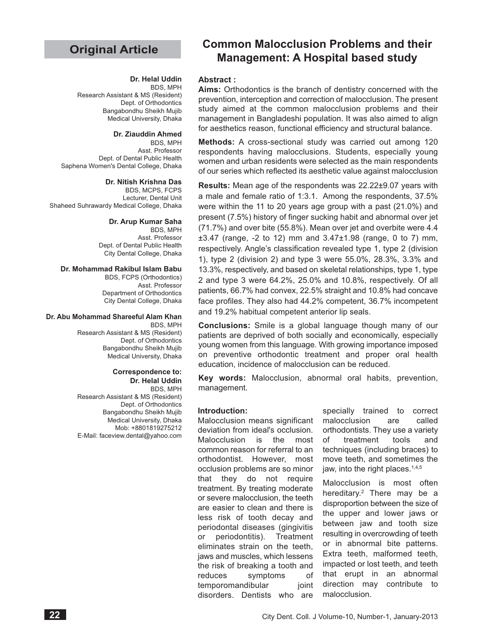# **Original Article**

#### **Dr. Helal Uddin**

BDS, MPH Research Assistant & MS (Resident) Dept. of Orthodontics Bangabondhu Sheikh Mujib Medical University, Dhaka

#### **Dr. Ziauddin Ahmed**

BDS, MPH Asst. Professor Dept. of Dental Public Health Saphena Women's Dental College, Dhaka

#### **Dr. Nitish Krishna Das**

BDS, MCPS, FCPS Lecturer, Dental Unit Shaheed Suhrawardy Medical College, Dhaka

#### **Dr. Arup Kumar Saha**

BDS, MPH Asst. Professor Dept. of Dental Public Health City Dental College, Dhaka

#### **Dr. Mohammad Rakibul Islam Babu**

BDS, FCPS (Orthodontics) Asst. Professor Department of Orthodontics

City Dental College, Dhaka

#### **Dr. Abu Mohammad Shareeful Alam Khan**

BDS, MPH Research Assistant & MS (Resident) Dept. of Orthodontics Bangabondhu Sheikh Mujib Medical University, Dhaka

#### **Correspondence to: Dr. Helal Uddin**

BDS, MPH Research Assistant & MS (Resident) Dept. of Orthodontics Bangabondhu Sheikh Mujib Medical University, Dhaka Mob: +8801819275212 E-Mail: faceview.dental@yahoo.com

# **Common Malocclusion Problems and their Management: A Hospital based study**

#### **Abstract :**

**Aims:** Orthodontics is the branch of dentistry concerned with the prevention, interception and correction of malocclusion. The present study aimed at the common malocclusion problems and their management in Bangladeshi population. It was also aimed to align for aesthetics reason, functional efficiency and structural balance.

**Methods:** A cross-sectional study was carried out among 120 respondents having malocclusions. Students, especially young women and urban residents were selected as the main respondents of our series which reflected its aesthetic value against malocclusion

**Results:** Mean age of the respondents was 22.22±9.07 years with a male and female ratio of 1:3.1. Among the respondents, 37.5% were within the 11 to 20 years age group with a past (21.0%) and present (7.5%) history of finger sucking habit and abnormal over jet (71.7%) and over bite (55.8%). Mean over jet and overbite were 4.4 ±3.47 (range, -2 to 12) mm and 3.47±1.98 (range, 0 to 7) mm, respectively. Angle's classification revealed type 1, type 2 (division 1), type 2 (division 2) and type 3 were 55.0%, 28.3%, 3.3% and 13.3%, respectively, and based on skeletal relationships, type 1, type 2 and type 3 were 64.2%, 25.0% and 10.8%, respectively. Of all patients, 66.7% had convex, 22.5% straight and 10.8% had concave face profiles. They also had 44.2% competent, 36.7% incompetent and 19.2% habitual competent anterior lip seals.

**Conclusions:** Smile is a global language though many of our patients are deprived of both socially and economically, especially young women from this language. With growing importance imposed on preventive orthodontic treatment and proper oral health education, incidence of malocclusion can be reduced.

**Key words:** Malocclusion, abnormal oral habits, prevention, management.

#### **Introduction:**

Malocclusion means significant deviation from ideal's occlusion. Malocclusion is the most common reason for referral to an orthodontist. However, most occlusion problems are so minor that they do not require treatment. By treating moderate or severe malocclusion, the teeth are easier to clean and there is less risk of tooth decay and periodontal diseases (gingivitis or periodontitis). Treatment eliminates strain on the teeth, jaws and muscles, which lessens the risk of breaking a tooth and reduces symptoms of temporomandibular joint disorders. Dentists who are

specially trained to correct malocclusion are called orthodontists. They use a variety of treatment tools and techniques (including braces) to move teeth, and sometimes the jaw, into the right places.<sup>1,4,5</sup>

Malocclusion is most often hereditary.<sup>2</sup> There may be a disproportion between the size of the upper and lower jaws or between jaw and tooth size resulting in overcrowding of teeth or in abnormal bite patterns. Extra teeth, malformed teeth, impacted or lost teeth, and teeth that erupt in an abnormal direction may contribute to malocclusion.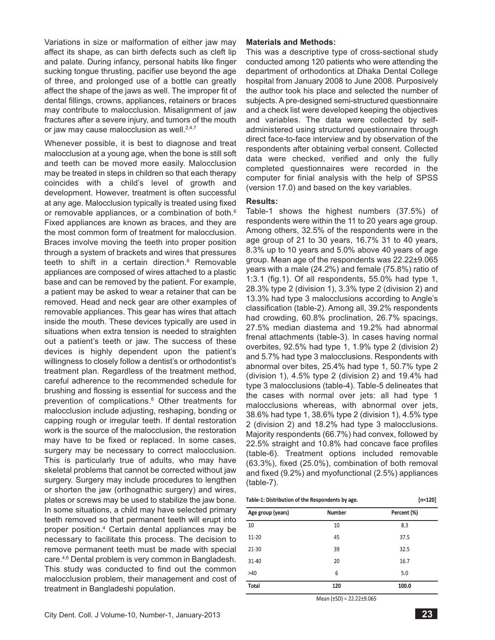Variations in size or malformation of either jaw may affect its shape, as can birth defects such as cleft lip and palate. During infancy, personal habits like finger sucking tongue thrusting, pacifier use beyond the age of three, and prolonged use of a bottle can greatly affect the shape of the jaws as well. The improper fit of dental fillings, crowns, appliances, retainers or braces may contribute to malocclusion. Misalignment of jaw fractures after a severe injury, and tumors of the mouth or jaw may cause malocclusion as well. $2,4,7$ 

Whenever possible, it is best to diagnose and treat malocclusion at a young age, when the bone is still soft and teeth can be moved more easily. Malocclusion may be treated in steps in children so that each therapy coincides with a child's level of growth and development. However, treatment is often successful at any age. Malocclusion typically is treated using fixed or removable appliances, or a combination of both.<sup>6</sup> Fixed appliances are known as braces, and they are the most common form of treatment for malocclusion. Braces involve moving the teeth into proper position through a system of brackets and wires that pressures teeth to shift in a certain direction. $6$  Removable appliances are composed of wires attached to a plastic base and can be removed by the patient. For example, a patient may be asked to wear a retainer that can be removed. Head and neck gear are other examples of removable appliances. This gear has wires that attach inside the mouth. These devices typically are used in situations when extra tension is needed to straighten out a patient's teeth or jaw. The success of these devices is highly dependent upon the patient's willingness to closely follow a dentist's or orthodontist's treatment plan. Regardless of the treatment method, careful adherence to the recommended schedule for brushing and flossing is essential for success and the prevention of complications.<sup>6</sup> Other treatments for malocclusion include adjusting, reshaping, bonding or capping rough or irregular teeth. If dental restoration work is the source of the malocclusion, the restoration may have to be fixed or replaced. In some cases, surgery may be necessary to correct malocclusion. This is particularly true of adults, who may have skeletal problems that cannot be corrected without jaw surgery. Surgery may include procedures to lengthen or shorten the jaw (orthognathic surgery) and wires, plates or screws may be used to stabilize the jaw bone. In some situations, a child may have selected primary teeth removed so that permanent teeth will erupt into proper position.4 Certain dental appliances may be necessary to facilitate this process. The decision to remove permanent teeth must be made with special care.<sup>4,6</sup> Dental problem is very common in Bangladesh. This study was conducted to find out the common malocclusion problem, their management and cost of treatment in Bangladeshi population.

#### **Materials and Methods:**

This was a descriptive type of cross-sectional study conducted among 120 patients who were attending the department of orthodontics at Dhaka Dental College hospital from January 2008 to June 2008. Purposively the author took his place and selected the number of subjects. A pre-designed semi-structured questionnaire and a check list were developed keeping the objectives and variables. The data were collected by selfadministered using structured questionnaire through direct face-to-face interview and by observation of the respondents after obtaining verbal consent. Collected data were checked, verified and only the fully completed questionnaires were recorded in the computer for finial analysis with the help of SPSS (version 17.0) and based on the key variables.

#### **Results:**

Table-1 shows the highest numbers (37.5%) of respondents were within the 11 to 20 years age group. Among others, 32.5% of the respondents were in the age group of 21 to 30 years, 16.7% 31 to 40 years, 8.3% up to 10 years and 5.0% above 40 years of age group. Mean age of the respondents was 22.22±9.065 years with a male (24.2%) and female (75.8%) ratio of 1:3.1 (fig.1). Of all respondents, 55.0% had type 1, 28.3% type 2 (division 1), 3.3% type 2 (division 2) and 13.3% had type 3 malocclusions according to Angle's classification (table-2). Among all, 39.2% respondents had crowding, 60.8% proclination, 26.7% spacings, 27.5% median diastema and 19.2% had abnormal frenal attachments (table-3). In cases having normal overbites, 92.5% had type 1, 1.9% type 2 (division 2) and 5.7% had type 3 malocclusions. Respondents with abnormal over bites, 25.4% had type 1, 50.7% type 2 (division 1), 4.5% type 2 (division 2) and 19.4% had type 3 malocclusions (table-4). Table-5 delineates that the cases with normal over jets: all had type 1 malocclusions whereas, with abnormal over jets, 38.6% had type 1, 38.6% type 2 (division 1), 4.5% type 2 (division 2) and 18.2% had type 3 malocclusions. Majority respondents (66.7%) had convex, followed by 22.5% straight and 10.8% had concave face profiles (table-6). Treatment options included removable (63.3%), fixed (25.0%), combination of both removal and fixed (9.2%) and myofunctional (2.5%) appliances (table-7).

| Table-1: Distribution of the Respondents by age. |               | $[n=120]$   |
|--------------------------------------------------|---------------|-------------|
| Age group (years)                                | <b>Number</b> | Percent (%) |
| 10                                               | 10            | 8.3         |
| 11-20                                            | 45            | 37.5        |
| $21 - 30$                                        | 39            | 32.5        |
| $31 - 40$                                        | 20            | 16.7        |
| >40                                              | 6             | 5.0         |
| Total                                            | 120           | 100.0       |
|                                                  | $\sim$ $\sim$ |             |

Mean (±SD) = 22.22±9.065

 $[n - 120]$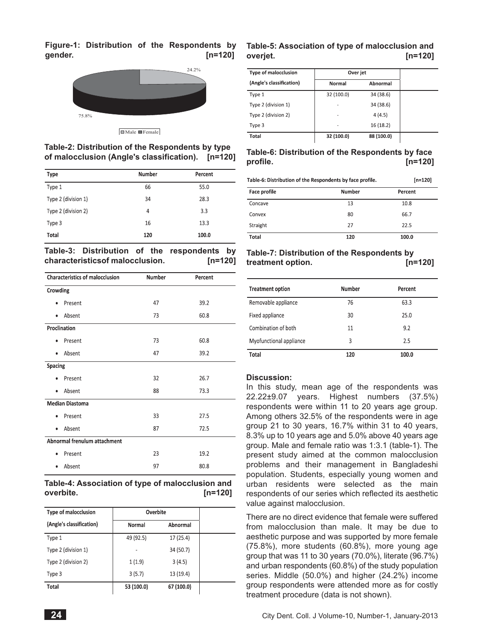**Figure-1: Distribution of the Respondents by Table-5: Association of type of malocclusion and gender. [n=120]**



# **Table-2: Distribution of the Respondents by type**

**of malocclusion (Angle's classification). [n=120]**

| <b>Type</b>         | <b>Number</b> | Percent |
|---------------------|---------------|---------|
| Type 1              | 66            | 55.0    |
| Type 2 (division 1) | 34            | 28.3    |
| Type 2 (division 2) | 4             | 3.3     |
| Type 3              | 16            | 13.3    |
| Total               | 120           | 100.0   |

|                                 |  | Table-3: Distribution of the respondents by |  |
|---------------------------------|--|---------------------------------------------|--|
| characteristicsof malocclusion. |  | $[n=120]$                                   |  |

| <b>Characteristics of malocclusion</b> | Number | Percent |  |  |
|----------------------------------------|--------|---------|--|--|
| Crowding                               |        |         |  |  |
| Present<br>٠                           | 47     | 39.2    |  |  |
| Absent<br>٠                            | 73     | 60.8    |  |  |
| Proclination                           |        |         |  |  |
| Present                                | 73     | 60.8    |  |  |
| Absent<br>٠                            | 47     | 39.2    |  |  |
| Spacing                                |        |         |  |  |
| Present                                | 32     | 26.7    |  |  |
| Absent<br>$\bullet$                    | 88     | 73.3    |  |  |
| <b>Median Diastoma</b>                 |        |         |  |  |
| Present                                | 33     | 27.5    |  |  |
| Absent<br>٠                            | 87     | 72.5    |  |  |
| Abnormal frenulum attachment           |        |         |  |  |
| Present                                | 23     | 19.2    |  |  |
| Absent                                 | 97     | 80.8    |  |  |

## **Table-4: Association of type of malocclusion and overbite. [n=120]**

| <b>Type of malocclusion</b> | Overbite   |            |  |  |
|-----------------------------|------------|------------|--|--|
| (Angle's classification)    | Normal     | Abnormal   |  |  |
| Type 1                      | 49 (92.5)  | 17(25.4)   |  |  |
| Type 2 (division 1)         |            | 34 (50.7)  |  |  |
| Type 2 (division 2)         | 1(1.9)     | 3(4.5)     |  |  |
| Type 3                      | 3(5.7)     | 13 (19.4)  |  |  |
| Total                       | 53 (100.0) | 67 (100.0) |  |  |

# **overjet. [n=120]**

| <b>Type of malocclusion</b> | Over jet                 |            |
|-----------------------------|--------------------------|------------|
| (Angle's classification)    | Normal                   | Abnormal   |
| Type 1                      | 32 (100.0)               | 34 (38.6)  |
| Type 2 (division 1)         | ٠                        | 34 (38.6)  |
| Type 2 (division 2)         | ۰                        | 4(4.5)     |
| Type 3                      | $\overline{\phantom{a}}$ | 16 (18.2)  |
| Total                       | 32 (100.0)               | 88 (100.0) |

# **Table-6: Distribution of the Respondents by face profile. [n=120]**

| Table-6: Distribution of the Respondents by face profile. |        | $[n=120]$ |  |
|-----------------------------------------------------------|--------|-----------|--|
| <b>Face profile</b>                                       | Number | Percent   |  |
| Concave                                                   | 13     | 10.8      |  |
| Convex                                                    | 80     | 66.7      |  |
| Straight                                                  | 27     | 22.5      |  |
| Total                                                     | 120    | 100.0     |  |

# **Table-7: Distribution of the Respondents by treatment option. [n=120]**

| <b>Treatment option</b> | Number | Percent |
|-------------------------|--------|---------|
| Removable appliance     | 76     | 63.3    |
| Fixed appliance         | 30     | 25.0    |
| Combination of both     | 11     | 9.2     |
| Myofunctional appliance | 3      | 2.5     |
| Total                   | 120    | 100.0   |

## **Discussion:**

In this study, mean age of the respondents was 22.22±9.07 years. Highest numbers (37.5%) respondents were within 11 to 20 years age group. Among others 32.5% of the respondents were in age group 21 to 30 years, 16.7% within 31 to 40 years, 8.3% up to 10 years age and 5.0% above 40 years age group. Male and female ratio was 1:3.1 (table-1). The present study aimed at the common malocclusion problems and their management in Bangladeshi population. Students, especially young women and urban residents were selected as the main respondents of our series which reflected its aesthetic value against malocclusion.

There are no direct evidence that female were suffered from malocclusion than male. It may be due to aesthetic purpose and was supported by more female (75.8%), more students (60.8%), more young age group that was 11 to 30 years (70.0%), literate (96.7%) and urban respondents (60.8%) of the study population series. Middle (50.0%) and higher (24.2%) income group respondents were attended more as for costly treatment procedure (data is not shown).